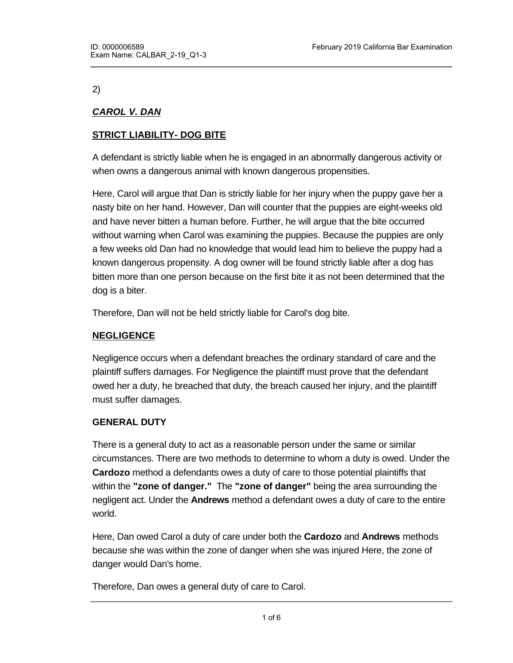2)

# *CAROL V. DAN*

# **STRICT LIABILITY- DOG BITE**

A defendant is strictly liable when he is engaged in an abnormally dangerous activity or when owns a dangerous animal with known dangerous propensities.

Here, Carol will argue that Dan is strictly liable for her injury when the puppy gave her a nasty bite on her hand. However, Dan will counter that the puppies are eight-weeks old and have never bitten a human before. Further, he will argue that the bite occurred without warning when Carol was examining the puppies. Because the puppies are only a few weeks old Dan had no knowledge that would lead him to believe the puppy had a known dangerous propensity. A dog owner will be found strictly liable after a dog has bitten more than one person because on the first bite it as not been determined that the dog is a biter.

Therefore, Dan will not be held strictly liable for Carol's dog bite.

# **NEGLIGENCE**

Negligence occurs when a defendant breaches the ordinary standard of care and the plaintiff suffers damages. For Negligence the plaintiff must prove that the defendant owed her a duty, he breached that duty, the breach caused her injury, and the plaintiff must suffer damages.

#### **GENERAL DUTY**

There is a general duty to act as a reasonable person under the same or similar circumstances. There are two methods to determine to whom a duty is owed. Under the **Cardozo** method a defendants owes a duty of care to those potential plaintiffs that within the **"zone of danger."** The **"zone of danger"** being the area surrounding the negligent act. Under the **Andrews** method a defendant owes a duty of care to the entire world.

Here, Dan owed Carol a duty of care under both the **Cardozo** and **Andrews** methods because she was within the zone of danger when she was injured Here, the zone of danger would Dan's home.

Therefore, Dan owes a general duty of care to Carol.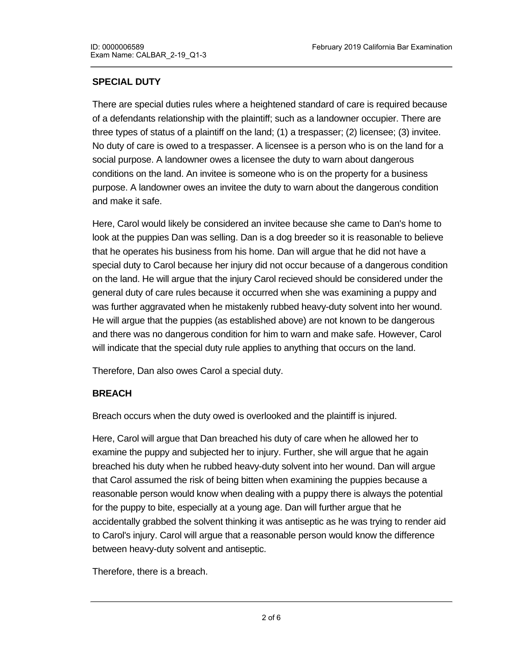# **SPECIAL DUTY**

There are special duties rules where a heightened standard of care is required because of a defendants relationship with the plaintiff; such as a landowner occupier. There are three types of status of a plaintiff on the land; (1) a trespasser; (2) licensee; (3) invitee. No duty of care is owed to a trespasser. A licensee is a person who is on the land for a social purpose. A landowner owes a licensee the duty to warn about dangerous conditions on the land. An invitee is someone who is on the property for a business purpose. A landowner owes an invitee the duty to warn about the dangerous condition and make it safe.

Here, Carol would likely be considered an invitee because she came to Dan's home to look at the puppies Dan was selling. Dan is a dog breeder so it is reasonable to believe that he operates his business from his home. Dan will argue that he did not have a special duty to Carol because her injury did not occur because of a dangerous condition on the land. He will argue that the injury Carol recieved should be considered under the general duty of care rules because it occurred when she was examining a puppy and was further aggravated when he mistakenly rubbed heavy-duty solvent into her wound. He will argue that the puppies (as established above) are not known to be dangerous and there was no dangerous condition for him to warn and make safe. However, Carol will indicate that the special duty rule applies to anything that occurs on the land.

Therefore, Dan also owes Carol a special duty.

# **BREACH**

Breach occurs when the duty owed is overlooked and the plaintiff is injured.

Here, Carol will argue that Dan breached his duty of care when he allowed her to examine the puppy and subjected her to injury. Further, she will argue that he again breached his duty when he rubbed heavy-duty solvent into her wound. Dan will argue that Carol assumed the risk of being bitten when examining the puppies because a reasonable person would know when dealing with a puppy there is always the potential for the puppy to bite, especially at a young age. Dan will further argue that he accidentally grabbed the solvent thinking it was antiseptic as he was trying to render aid to Carol's injury. Carol will argue that a reasonable person would know the difference between heavy-duty solvent and antiseptic.

Therefore, there is a breach.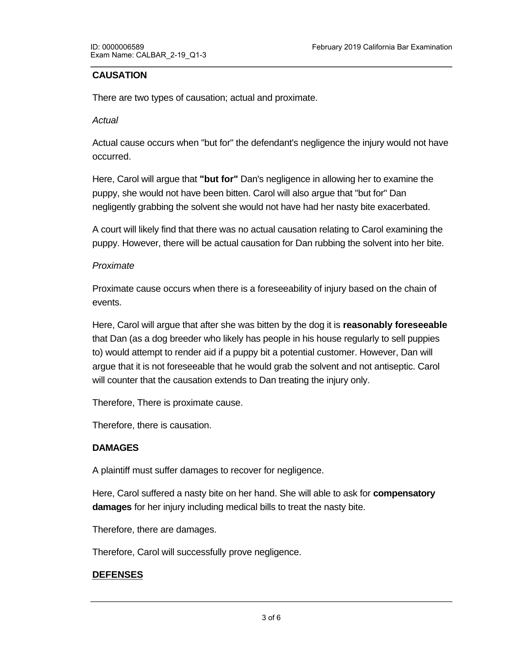### **CAUSATION**

There are two types of causation; actual and proximate.

#### *Actual*

Actual cause occurs when "but for" the defendant's negligence the injury would not have occurred.

Here, Carol will argue that **"but for"** Dan's negligence in allowing her to examine the puppy, she would not have been bitten. Carol will also argue that "but for" Dan negligently grabbing the solvent she would not have had her nasty bite exacerbated.

A court will likely find that there was no actual causation relating to Carol examining the puppy. However, there will be actual causation for Dan rubbing the solvent into her bite.

#### *Proximate*

Proximate cause occurs when there is a foreseeability of injury based on the chain of events.

Here, Carol will argue that after she was bitten by the dog it is **reasonably foreseeable** that Dan (as a dog breeder who likely has people in his house regularly to sell puppies to) would attempt to render aid if a puppy bit a potential customer. However, Dan will argue that it is not foreseeable that he would grab the solvent and not antiseptic. Carol will counter that the causation extends to Dan treating the injury only.

Therefore, There is proximate cause.

Therefore, there is causation.

#### **DAMAGES**

A plaintiff must suffer damages to recover for negligence.

Here, Carol suffered a nasty bite on her hand. She will able to ask for **compensatory damages** for her injury including medical bills to treat the nasty bite.

Therefore, there are damages.

**ASSUMPTION OF RISK**

Therefore, Carol will successfully prove negligence.

# **DEFENSES**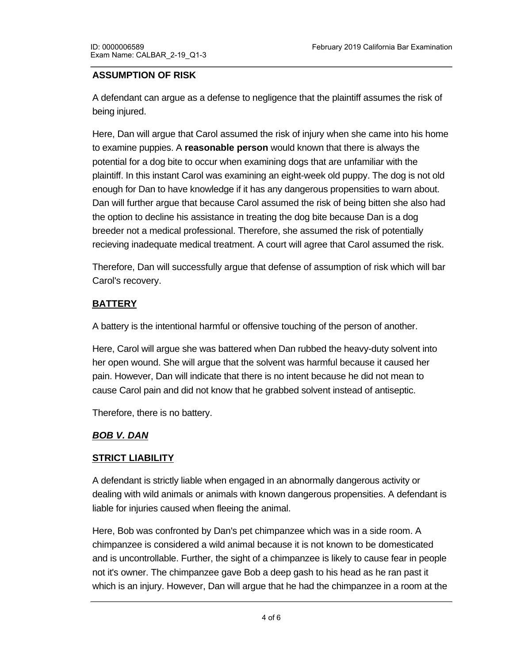### **ASSUMPTION OF RISK**

A defendant can argue as a defense to negligence that the plaintiff assumes the risk of being injured.

Here, Dan will argue that Carol assumed the risk of injury when she came into his home to examine puppies. A **reasonable person** would known that there is always the potential for a dog bite to occur when examining dogs that are unfamiliar with the plaintiff. In this instant Carol was examining an eight-week old puppy. The dog is not old enough for Dan to have knowledge if it has any dangerous propensities to warn about. Dan will further argue that because Carol assumed the risk of being bitten she also had the option to decline his assistance in treating the dog bite because Dan is a dog breeder not a medical professional. Therefore, she assumed the risk of potentially recieving inadequate medical treatment. A court will agree that Carol assumed the risk.

Therefore, Dan will successfully argue that defense of assumption of risk which will bar Carol's recovery.

# **BATTERY**

A battery is the intentional harmful or offensive touching of the person of another.

Here, Carol will argue she was battered when Dan rubbed the heavy-duty solvent into her open wound. She will argue that the solvent was harmful because it caused her pain. However, Dan will indicate that there is no intent because he did not mean to cause Carol pain and did not know that he grabbed solvent instead of antiseptic.

Therefore, there is no battery.

# *BOB V. DAN*

# **STRICT LIABILITY**

A defendant is strictly liable when engaged in an abnormally dangerous activity or dealing with wild animals or animals with known dangerous propensities. A defendant is liable for injuries caused when fleeing the animal.

Here, Bob was confronted by Dan's pet chimpanzee which was in a side room. A chimpanzee is considered a wild animal because it is not known to be domesticated and is uncontrollable. Further, the sight of a chimpanzee is likely to cause fear in people not it's owner. The chimpanzee gave Bob a deep gash to his head as he ran past it which is an injury. However, Dan will argue that he had the chimpanzee in a room at the

end of the hall and told Bob not to go into the hall and to go into that room. This he will argue was enough to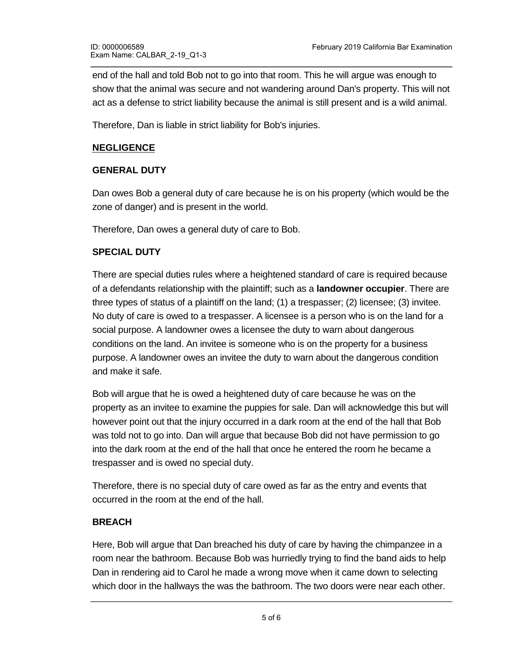end of the hall and told Bob not to go into that room. This he will argue was enough to show that the animal was secure and not wandering around Dan's property. This will not act as a defense to strict liability because the animal is still present and is a wild animal.

Therefore, Dan is liable in strict liability for Bob's injuries.

### **NEGLIGENCE**

### **GENERAL DUTY**

Dan owes Bob a general duty of care because he is on his property (which would be the zone of danger) and is present in the world.

Therefore, Dan owes a general duty of care to Bob.

### **SPECIAL DUTY**

There are special duties rules where a heightened standard of care is required because of a defendants relationship with the plaintiff; such as a **landowner occupier**. There are three types of status of a plaintiff on the land; (1) a trespasser; (2) licensee; (3) invitee. No duty of care is owed to a trespasser. A licensee is a person who is on the land for a social purpose. A landowner owes a licensee the duty to warn about dangerous conditions on the land. An invitee is someone who is on the property for a business purpose. A landowner owes an invitee the duty to warn about the dangerous condition and make it safe.

Bob will argue that he is owed a heightened duty of care because he was on the property as an invitee to examine the puppies for sale. Dan will acknowledge this but will however point out that the injury occurred in a dark room at the end of the hall that Bob was told not to go into. Dan will argue that because Bob did not have permission to go into the dark room at the end of the hall that once he entered the room he became a trespasser and is owed no special duty.

Therefore, there is no special duty of care owed as far as the entry and events that occurred in the room at the end of the hall.

# **BREACH**

Here, Bob will argue that Dan breached his duty of care by having the chimpanzee in a room near the bathroom. Because Bob was hurriedly trying to find the band aids to help Dan in rendering aid to Carol he made a wrong move when it came down to selecting which door in the hallways the was the bathroom. The two doors were near each other.

Bob will argue that a reasonable person would not keep their chimpanzee so close to